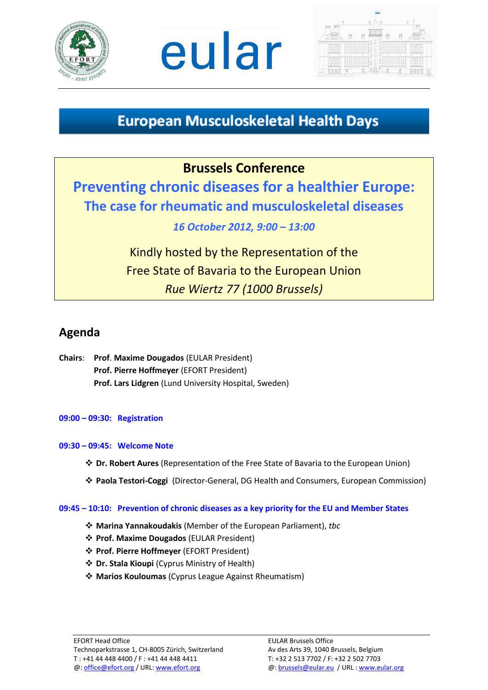





# **European Musculoskeletal Health Days**

## **Brussels Conference**

**Preventing chronic diseases for a healthier Europe: The case for rheumatic and musculoskeletal diseases** 

### *16 October 2012, 9:00 – 13:00*

Kindly hosted by the Representation of the Free State of Bavaria to the European Union *Rue Wiertz 77 (1000 Brussels)*

## **Agenda**

**Chairs**: **Prof**. **Maxime Dougados** (EULAR President) **Prof. Pierre Hoffmeyer** (EFORT President) **Prof. Lars Lidgren** (Lund University Hospital, Sweden)

### **09:00 – 09:30: Registration**

### **09:30 – 09:45: Welcome Note**

- **Dr. Robert Aures** (Representation of the Free State of Bavaria to the European Union)
- **Paola Testori-Coggi** (Director-General, DG Health and Consumers, European Commission)

#### **09:45 – 10:10: Prevention of chronic diseases as a key priority for the EU and Member States**

- **Marina Yannakoudakis** (Member of the European Parliament), *tbc*
- **Prof. Maxime Dougados** (EULAR President)
- **Prof. Pierre Hoffmeyer** (EFORT President)
- **Dr. Stala Kioupi** (Cyprus Ministry of Health)
- **Marios Kouloumas** (Cyprus League Against Rheumatism)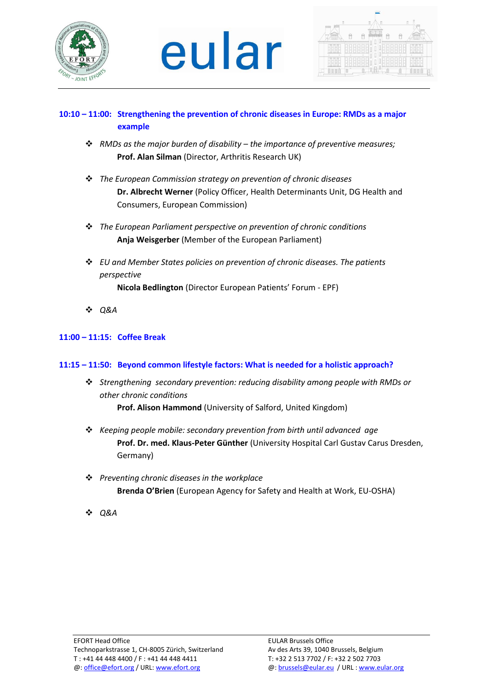

# eular



### **10:10 – 11:00: Strengthening the prevention of chronic diseases in Europe: RMDs as a major example**

- *RMDs as the major burden of disability – the importance of preventive measures;*  **Prof. Alan Silman** (Director, Arthritis Research UK)
- *The European Commission strategy on prevention of chronic diseases* **Dr. Albrecht Werner** (Policy Officer, Health Determinants Unit, DG Health and Consumers, European Commission)
- *The European Parliament perspective on prevention of chronic conditions* **Anja Weisgerber** (Member of the European Parliament)
- *EU and Member States policies on prevention of chronic diseases. The patients perspective*

**Nicola Bedlington** (Director European Patients' Forum - EPF)

*Q&A*

### **11:00 – 11:15: Coffee Break**

### **11:15 – 11:50: Beyond common lifestyle factors: What is needed for a holistic approach?**

- *Strengthening secondary prevention: reducing disability among people with RMDs or other chronic conditions* **Prof. Alison Hammond** (University of Salford, United Kingdom)
- *Keeping people mobile: secondary prevention from birth until advanced age*  **Prof. Dr. med. Klaus-Peter Günther** (University Hospital Carl Gustav Carus Dresden, Germany)
- *Preventing chronic diseases in the workplace* **Brenda O'Brien** (European Agency for Safety and Health at Work, EU-OSHA)
- **☆ O&A**